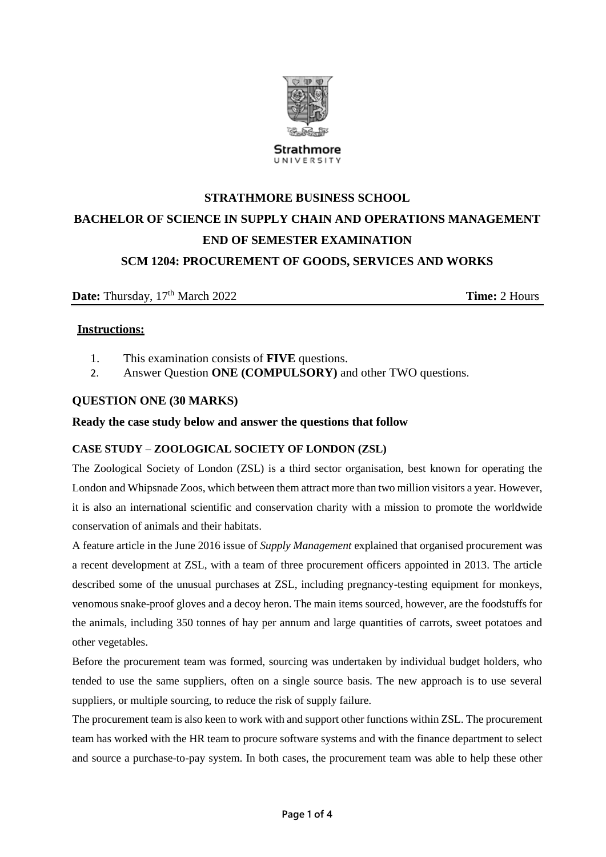

UNIVERSITY

# **STRATHMORE BUSINESS SCHOOL BACHELOR OF SCIENCE IN SUPPLY CHAIN AND OPERATIONS MANAGEMENT END OF SEMESTER EXAMINATION SCM 1204: PROCUREMENT OF GOODS, SERVICES AND WORKS**

# **Date:** Thursday,  $17<sup>th</sup>$  March 2022 **Time:** 2 Hours

## **Instructions:**

- 1. This examination consists of **FIVE** questions.
- 2. Answer Question **ONE (COMPULSORY)** and other TWO questions.

## **QUESTION ONE (30 MARKS)**

#### **Ready the case study below and answer the questions that follow**

#### **CASE STUDY – ZOOLOGICAL SOCIETY OF LONDON (ZSL)**

The Zoological Society of London (ZSL) is a third sector organisation, best known for operating the London and Whipsnade Zoos, which between them attract more than two million visitors a year. However, it is also an international scientific and conservation charity with a mission to promote the worldwide conservation of animals and their habitats.

A feature article in the June 2016 issue of *Supply Management* explained that organised procurement was a recent development at ZSL, with a team of three procurement officers appointed in 2013. The article described some of the unusual purchases at ZSL, including pregnancy-testing equipment for monkeys, venomous snake-proof gloves and a decoy heron. The main items sourced, however, are the foodstuffs for the animals, including 350 tonnes of hay per annum and large quantities of carrots, sweet potatoes and other vegetables.

Before the procurement team was formed, sourcing was undertaken by individual budget holders, who tended to use the same suppliers, often on a single source basis. The new approach is to use several suppliers, or multiple sourcing, to reduce the risk of supply failure.

The procurement team is also keen to work with and support other functions within ZSL. The procurement team has worked with the HR team to procure software systems and with the finance department to select and source a purchase-to-pay system. In both cases, the procurement team was able to help these other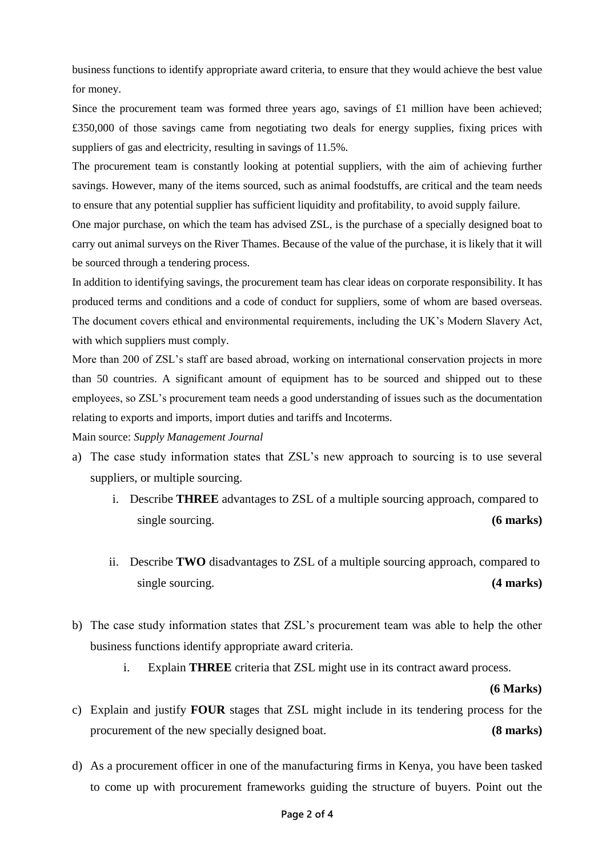business functions to identify appropriate award criteria, to ensure that they would achieve the best value for money.

Since the procurement team was formed three years ago, savings of £1 million have been achieved; £350,000 of those savings came from negotiating two deals for energy supplies, fixing prices with suppliers of gas and electricity, resulting in savings of 11.5%.

The procurement team is constantly looking at potential suppliers, with the aim of achieving further savings. However, many of the items sourced, such as animal foodstuffs, are critical and the team needs to ensure that any potential supplier has sufficient liquidity and profitability, to avoid supply failure.

One major purchase, on which the team has advised ZSL, is the purchase of a specially designed boat to carry out animal surveys on the River Thames. Because of the value of the purchase, it is likely that it will be sourced through a tendering process.

In addition to identifying savings, the procurement team has clear ideas on corporate responsibility. It has produced terms and conditions and a code of conduct for suppliers, some of whom are based overseas. The document covers ethical and environmental requirements, including the UK's Modern Slavery Act, with which suppliers must comply.

More than 200 of ZSL's staff are based abroad, working on international conservation projects in more than 50 countries. A significant amount of equipment has to be sourced and shipped out to these employees, so ZSL's procurement team needs a good understanding of issues such as the documentation relating to exports and imports, import duties and tariffs and Incoterms.

Main source: *Supply Management Journal*

- a) The case study information states that ZSL's new approach to sourcing is to use several suppliers, or multiple sourcing.
	- i. Describe **THREE** advantages to ZSL of a multiple sourcing approach, compared to single sourcing. **(6 marks)**
	- ii. Describe **TWO** disadvantages to ZSL of a multiple sourcing approach, compared to single sourcing. **(4 marks)**
- b) The case study information states that ZSL's procurement team was able to help the other business functions identify appropriate award criteria.
	- i. Explain **THREE** criteria that ZSL might use in its contract award process.

 **(6 Marks)**

- c) Explain and justify **FOUR** stages that ZSL might include in its tendering process for the procurement of the new specially designed boat. **(8 marks)**
- d) As a procurement officer in one of the manufacturing firms in Kenya, you have been tasked to come up with procurement frameworks guiding the structure of buyers. Point out the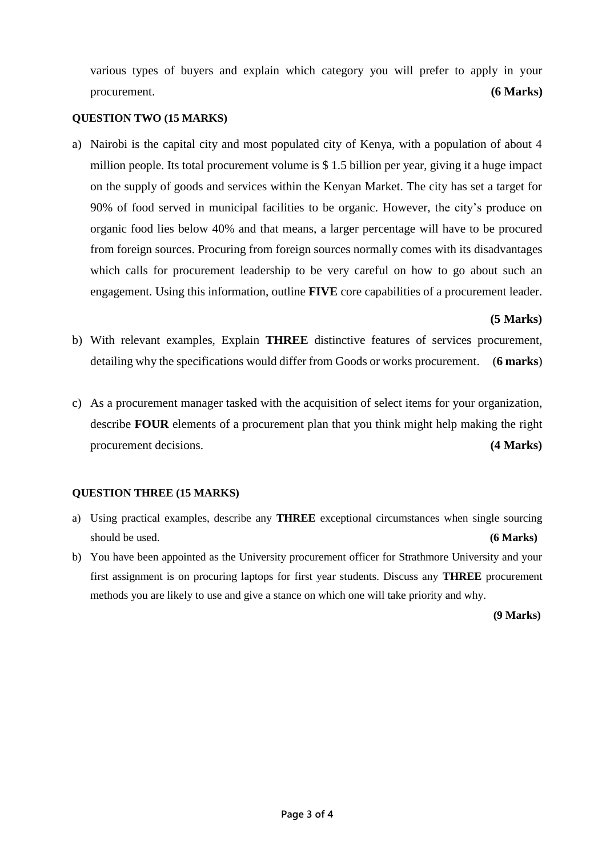various types of buyers and explain which category you will prefer to apply in your procurement. **(6 Marks)**

#### **QUESTION TWO (15 MARKS)**

a) Nairobi is the capital city and most populated city of Kenya, with a population of about 4 million people. Its total procurement volume is \$ 1.5 billion per year, giving it a huge impact on the supply of goods and services within the Kenyan Market. The city has set a target for 90% of food served in municipal facilities to be organic. However, the city's produce on organic food lies below 40% and that means, a larger percentage will have to be procured from foreign sources. Procuring from foreign sources normally comes with its disadvantages which calls for procurement leadership to be very careful on how to go about such an engagement. Using this information, outline **FIVE** core capabilities of a procurement leader.

#### **(5 Marks)**

- b) With relevant examples, Explain **THREE** distinctive features of services procurement, detailing why the specifications would differ from Goods or works procurement. (**6 marks**)
- c) As a procurement manager tasked with the acquisition of select items for your organization, describe **FOUR** elements of a procurement plan that you think might help making the right procurement decisions. **(4 Marks)**

#### **QUESTION THREE (15 MARKS)**

- a) Using practical examples, describe any **THREE** exceptional circumstances when single sourcing should be used. **(6 Marks)**
- b) You have been appointed as the University procurement officer for Strathmore University and your first assignment is on procuring laptops for first year students. Discuss any **THREE** procurement methods you are likely to use and give a stance on which one will take priority and why.

**(9 Marks)**